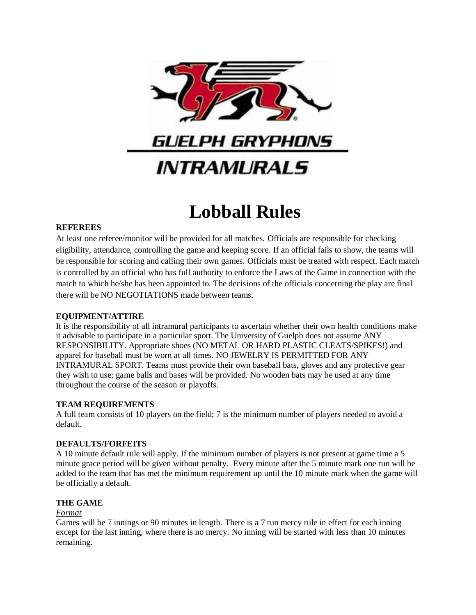

# **Lobball Rules**

# **REFEREES**

At least one referee/monitor will be provided for all matches. Officials are responsible for checking eligibility, attendance, controlling the game and keeping score. If an official fails to show, the teams will be responsible for scoring and calling their own games. Officials must be treated with respect. Each match is controlled by an official who has full authority to enforce the Laws of the Game in connection with the match to which he/she has been appointed to. The decisions of the officials concerning the play are final there will be NO NEGOTIATIONS made between teams.

# **EQUIPMENT/ATTIRE**

It is the responsibility of all intramural participants to ascertain whether their own health conditions make it advisable to participate in a particular sport. The University of Guelph does not assume ANY RESPONSIBILITY. Appropriate shoes (NO METAL OR HARD PLASTIC CLEATS/SPIKES!) and apparel for baseball must be worn at all times. NO JEWELRY IS PERMITTED FOR ANY INTRAMURAL SPORT. Teams must provide their own baseball bats, gloves and any protective gear they wish to use; game balls and bases will be provided. No wooden bats may be used at any time throughout the course of the season or playoffs.

## **TEAM REQUIREMENTS**

A full team consists of 10 players on the field; 7 is the minimum number of players needed to avoid a default.

#### **DEFAULTS/FORFEITS**

A 10 minute default rule will apply. If the minimum number of players is not present at game time a 5 minute grace period will be given without penalty. Every minute after the 5 minute mark one run will be added to the team that has met the minimum requirement up until the 10 minute mark when the game will be officially a default.

#### **THE GAME**

#### *Format*

Games will be 7 innings or 90 minutes in length. There is a 7 run mercy rule in effect for each inning except for the last inning, where there is no mercy. No inning will be started with less than 10 minutes remaining.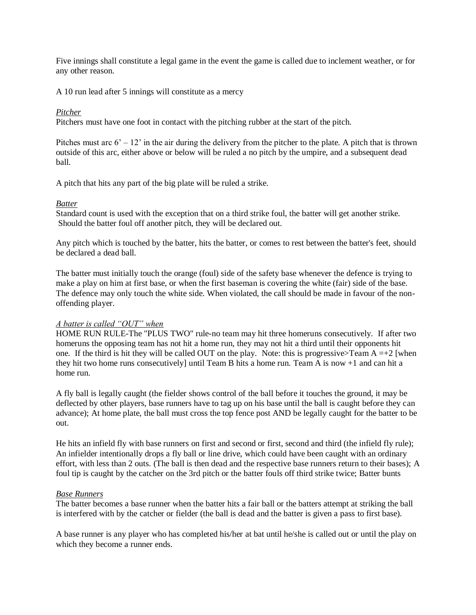Five innings shall constitute a legal game in the event the game is called due to inclement weather, or for any other reason.

A 10 run lead after 5 innings will constitute as a mercy

## *Pitcher*

Pitchers must have one foot in contact with the pitching rubber at the start of the pitch.

Pitches must arc  $6' - 12'$  in the air during the delivery from the pitcher to the plate. A pitch that is thrown outside of this arc, either above or below will be ruled a no pitch by the umpire, and a subsequent dead ball.

A pitch that hits any part of the big plate will be ruled a strike.

## *Batter*

Standard count is used with the exception that on a third strike foul, the batter will get another strike. Should the batter foul off another pitch, they will be declared out.

Any pitch which is touched by the batter, hits the batter, or comes to rest between the batter's feet, should be declared a dead ball.

The batter must initially touch the orange (foul) side of the safety base whenever the defence is trying to make a play on him at first base, or when the first baseman is covering the white (fair) side of the base. The defence may only touch the white side. When violated, the call should be made in favour of the nonoffending player.

#### *A batter is called "OUT" when*

HOME RUN RULE-The "PLUS TWO" rule-no team may hit three homeruns consecutively. If after two homeruns the opposing team has not hit a home run, they may not hit a third until their opponents hit one. If the third is hit they will be called OUT on the play. Note: this is progressive>Team  $A = +2$  [when they hit two home runs consecutively] until Team B hits a home run. Team A is now +1 and can hit a home run.

A fly ball is legally caught (the fielder shows control of the ball before it touches the ground, it may be deflected by other players, base runners have to tag up on his base until the ball is caught before they can advance); At home plate, the ball must cross the top fence post AND be legally caught for the batter to be out.

He hits an infield fly with base runners on first and second or first, second and third (the infield fly rule); An infielder intentionally drops a fly ball or line drive, which could have been caught with an ordinary effort, with less than 2 outs. (The ball is then dead and the respective base runners return to their bases); A foul tip is caught by the catcher on the 3rd pitch or the batter fouls off third strike twice; Batter bunts

#### *Base Runners*

The batter becomes a base runner when the batter hits a fair ball or the batters attempt at striking the ball is interfered with by the catcher or fielder (the ball is dead and the batter is given a pass to first base).

A base runner is any player who has completed his/her at bat until he/she is called out or until the play on which they become a runner ends.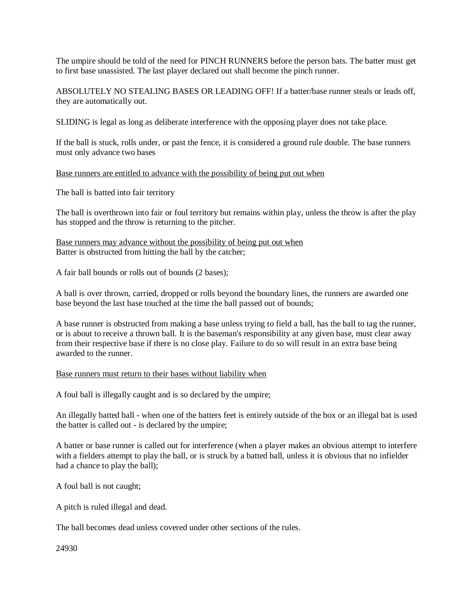The umpire should be told of the need for PINCH RUNNERS before the person bats. The batter must get to first base unassisted. The last player declared out shall become the pinch runner.

ABSOLUTELY NO STEALING BASES OR LEADING OFF! If a batter/base runner steals or leads off, they are automatically out.

SLIDING is legal as long as deliberate interference with the opposing player does not take place.

If the ball is stuck, rolls under, or past the fence, it is considered a ground rule double. The base runners must only advance two bases

Base runners are entitled to advance with the possibility of being put out when

The ball is batted into fair territory

The ball is overthrown into fair or foul territory but remains within play, unless the throw is after the play has stopped and the throw is returning to the pitcher.

Base runners may advance without the possibility of being put out when Batter is obstructed from hitting the ball by the catcher;

A fair ball bounds or rolls out of bounds (2 bases);

A ball is over thrown, carried, dropped or rolls beyond the boundary lines, the runners are awarded one base beyond the last base touched at the time the ball passed out of bounds;

A base runner is obstructed from making a base unless trying to field a ball, has the ball to tag the runner, or is about to receive a thrown ball. It is the baseman's responsibility at any given base, must clear away from their respective base if there is no close play. Failure to do so will result in an extra base being awarded to the runner.

#### Base runners must return to their bases without liability when

A foul ball is illegally caught and is so declared by the umpire;

An illegally batted ball - when one of the batters feet is entirely outside of the box or an illegal bat is used the batter is called out - is declared by the umpire;

A batter or base runner is called out for interference (when a player makes an obvious attempt to interfere with a fielders attempt to play the ball, or is struck by a batted ball, unless it is obvious that no infielder had a chance to play the ball);

A foul ball is not caught;

A pitch is ruled illegal and dead.

The ball becomes dead unless covered under other sections of the rules.

24930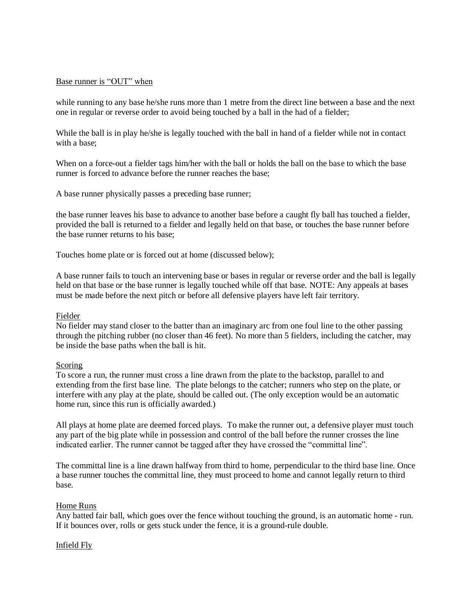## Base runner is "OUT" when

while running to any base he/she runs more than 1 metre from the direct line between a base and the next one in regular or reverse order to avoid being touched by a ball in the had of a fielder;

While the ball is in play he/she is legally touched with the ball in hand of a fielder while not in contact with a base;

When on a force-out a fielder tags him/her with the ball or holds the ball on the base to which the base runner is forced to advance before the runner reaches the base;

A base runner physically passes a preceding base runner;

the base runner leaves his base to advance to another base before a caught fly ball has touched a fielder, provided the ball is returned to a fielder and legally held on that base, or touches the base runner before the base runner returns to his base;

Touches home plate or is forced out at home (discussed below);

A base runner fails to touch an intervening base or bases in regular or reverse order and the ball is legally held on that base or the base runner is legally touched while off that base. NOTE: Any appeals at bases must be made before the next pitch or before all defensive players have left fair territory.

#### Fielder

No fielder may stand closer to the batter than an imaginary arc from one foul line to the other passing through the pitching rubber (no closer than 46 feet). No more than 5 fielders, including the catcher, may be inside the base paths when the ball is hit.

#### Scoring

To score a run, the runner must cross a line drawn from the plate to the backstop, parallel to and extending from the first base line. The plate belongs to the catcher; runners who step on the plate, or interfere with any play at the plate, should be called out. (The only exception would be an automatic home run, since this run is officially awarded.)

All plays at home plate are deemed forced plays. To make the runner out, a defensive player must touch any part of the big plate while in possession and control of the ball before the runner crosses the line indicated earlier. The runner cannot be tagged after they have crossed the "committal line".

The committal line is a line drawn halfway from third to home, perpendicular to the third base line. Once a base runner touches the committal line, they must proceed to home and cannot legally return to third base.

# Home Runs

Any batted fair ball, which goes over the fence without touching the ground, is an automatic home - run. If it bounces over, rolls or gets stuck under the fence, it is a ground-rule double.

# Infield Fly